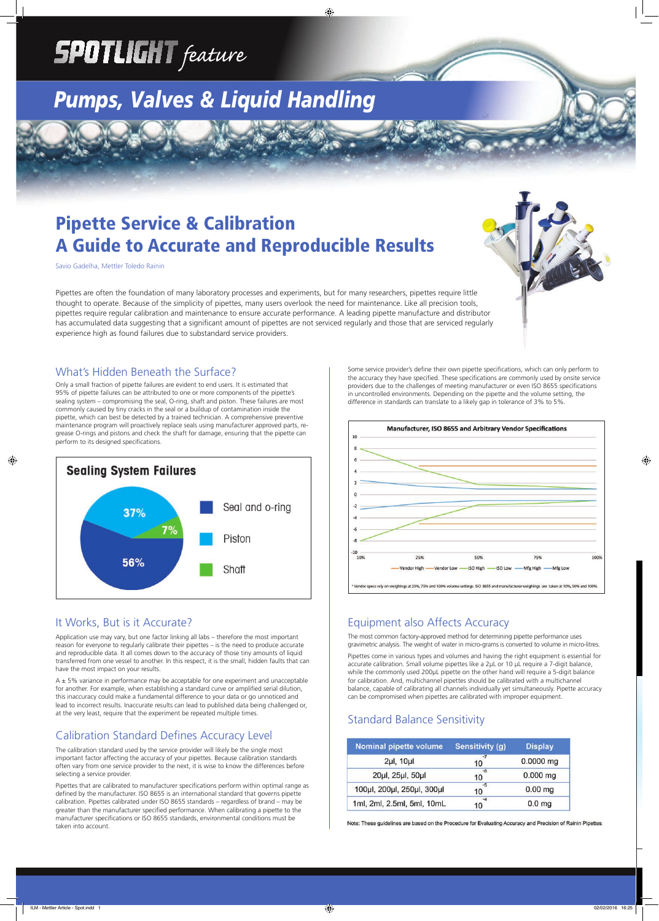Only a small fraction of pipette failures are evident to end users. It is estimated that 95% of pipette failures can be attributed to one or more components of the pipette's sealing system – compromising the seal, O-ring, shaft and piston. These failures are most commonly caused by tiny cracks in the seal or a buildup of contamination inside the pipette, which can best be detected by a trained technician. A comprehensive preventive maintenance program will proactively replace seals using manufacturer approved parts, regrease O-rings and pistons and check the shaft for damage, ensuring that the pipette can perform to its designed specifications.



# **SPOTLIGHT** feature

## *Pumps, Valves & Liquid Handling*

### Pipette Service & Calibration A Guide to Accurate and Reproducible Results

Savio Gadelha, Mettler Toledo Rainin

#### What's Hidden Beneath the Surface?

#### It Works, But is it Accurate?

Pipettes that are calibrated to manufacturer specifications perform within optimal range as defined by the manufacturer. ISO 8655 is an international standard that governs pipette calibration. Pipettes calibrated under ISO 8655 standards – regardless of brand – may be greater than the manufacturer specified performance. When calibrating a pipette to the manufacturer specifications or ISO 8655 standards, environmental conditions must be taken into account.

Application use may vary, but one factor linking all labs – therefore the most important reason for everyone to regularly calibrate their pipettes – is the need to produce accurate and reproducible data. It all comes down to the accuracy of those tiny amounts of liquid transferred from one vessel to another. In this respect, it is the small, hidden faults that can have the most impact on your results.

Some service provider's define their own pipette specifications, which can only perform to the accuracy they have specified. These specifications are commonly used by onsite service providers due to the challenges of meeting manufacturer or even ISO 8655 specifications in uncontrolled environments. Depending on the pipette and the volume setting, the difference in standards can translate to a likely gap in tolerance of 3% to 5%.



A ± 5% variance in performance may be acceptable for one experiment and unacceptable for another. For example, when establishing a standard curve or amplified serial dilution, this inaccuracy could make a fundamental difference to your data or go unnoticed and lead to incorrect results. Inaccurate results can lead to published data being challenged or, at the very least, require that the experiment be repeated multiple times.

The calibration standard used by the service provider will likely be the single most important factor affecting the accuracy of your pipettes. Because calibration standards often vary from one service provider to the next, it is wise to know the differences before selecting a service provider.

#### Equipment also Affects Accuracy

The most common factory-approved method for determining pipette performance uses gravimetric analysis. The weight of water in micro-grams is converted to volume in micro-litres.

Pipettes come in various types and volumes and having the right equipment is essential for accurate calibration. Small volume pipettes like a 2µL or 10 µL require a 7-digit balance, while the commonly used 200µL pipette on the other hand will require a 5-digit balance for calibration. And, multichannel pipettes should be calibrated with a multichannel balance, capable of calibrating all channels individually yet simultaneously. Pipette accuracy can be compromised when pipettes are calibrated with improper equipment.

#### Calibration Standard Defines Accuracy Level

#### Standard Balance Sensitivity

| Nominal pipette volume     | <b>Sensitivity (g)</b> | <b>Display</b>    |
|----------------------------|------------------------|-------------------|
| $2\mu$ l, 10 $\mu$ l       | $-7$<br>10             | 0.0000 mg         |
| 20µl, 25µl, 50µl           | -6<br>10               | $0.000$ mg        |
| 100µl, 200µl, 250µl, 300µl | $-5$<br>10             | $0.00$ mg         |
| 1ml, 2ml, 2.5ml, 5ml, 10mL | $-4$<br>10             | 0.0 <sub>mg</sub> |

Note: These guidelines are based on the Procedure for Evaluating Accuracy and Precision of Rainin Pipettes.

Pipettes are often the foundation of many laboratory processes and experiments, but for many researchers, pipettes require little thought to operate. Because of the simplicity of pipettes, many users overlook the need for maintenance. Like all precision tools, pipettes require regular calibration and maintenance to ensure accurate performance. A leading pipette manufacture and distributor has accumulated data suggesting that a significant amount of pipettes are not serviced regularly and those that are serviced regularly experience high as found failures due to substandard service providers.